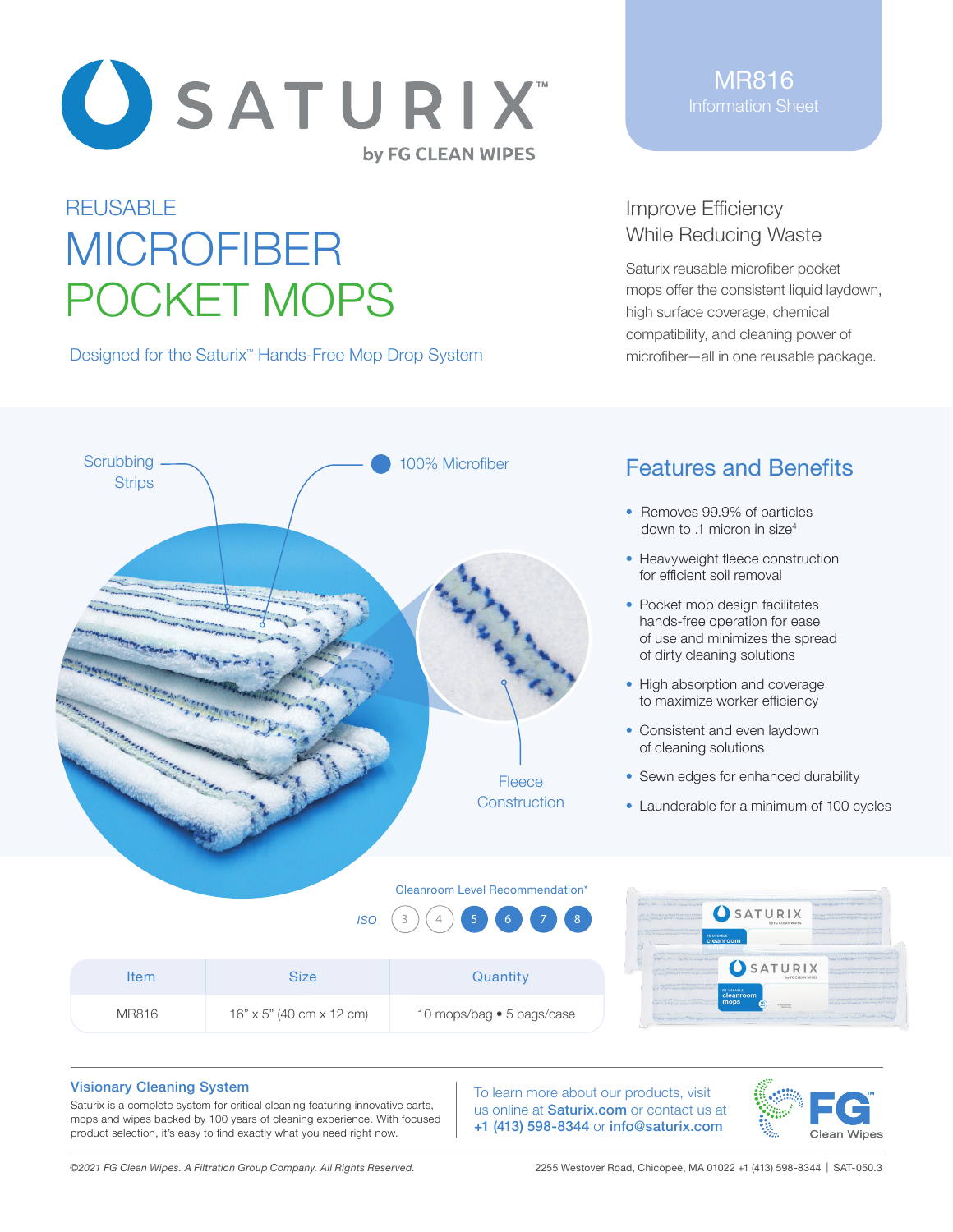

# **REUSABLE** MICROFIBER POCKET MOPS

Designed for the Saturix<sup>™</sup> Hands-Free Mop Drop System

MR816 Information Sheet

## Improve Efficiency While Reducing Waste

Saturix reusable microfiber pocket mops offer the consistent liquid laydown, high surface coverage, chemical compatibility, and cleaning power of microfiber—all in one reusable package.



# Features and Benefits

- Removes 99.9% of particles down to .1 micron in size4
- Heavyweight fleece construction for efficient soil removal
- Pocket mop design facilitates hands-free operation for ease of use and minimizes the spread of dirty cleaning solutions
- High absorption and coverage to maximize worker efficiency
- Consistent and even laydown of cleaning solutions
- Sewn edges for enhanced durability
- Launderable for a minimum of 100 cycles

Cleanroom Level Recommendation\*







#### Visionary Cleaning System

Saturix is a complete system for critical cleaning featuring innovative carts, mops and wipes backed by 100 years of cleaning experience. With focused product selection, it's easy to find exactly what you need right now.

To learn more about our products, visit us online at **Saturix.com** or contact us at +1 (413) 598-8344 or info@saturix.com



*©2021 FG Clean Wipes. A Filtration Group Company. All Rights Reserved.* 2255 Westover Road, Chicopee, MA 01022 +1 (413) 598-8344 | SAT-050.3